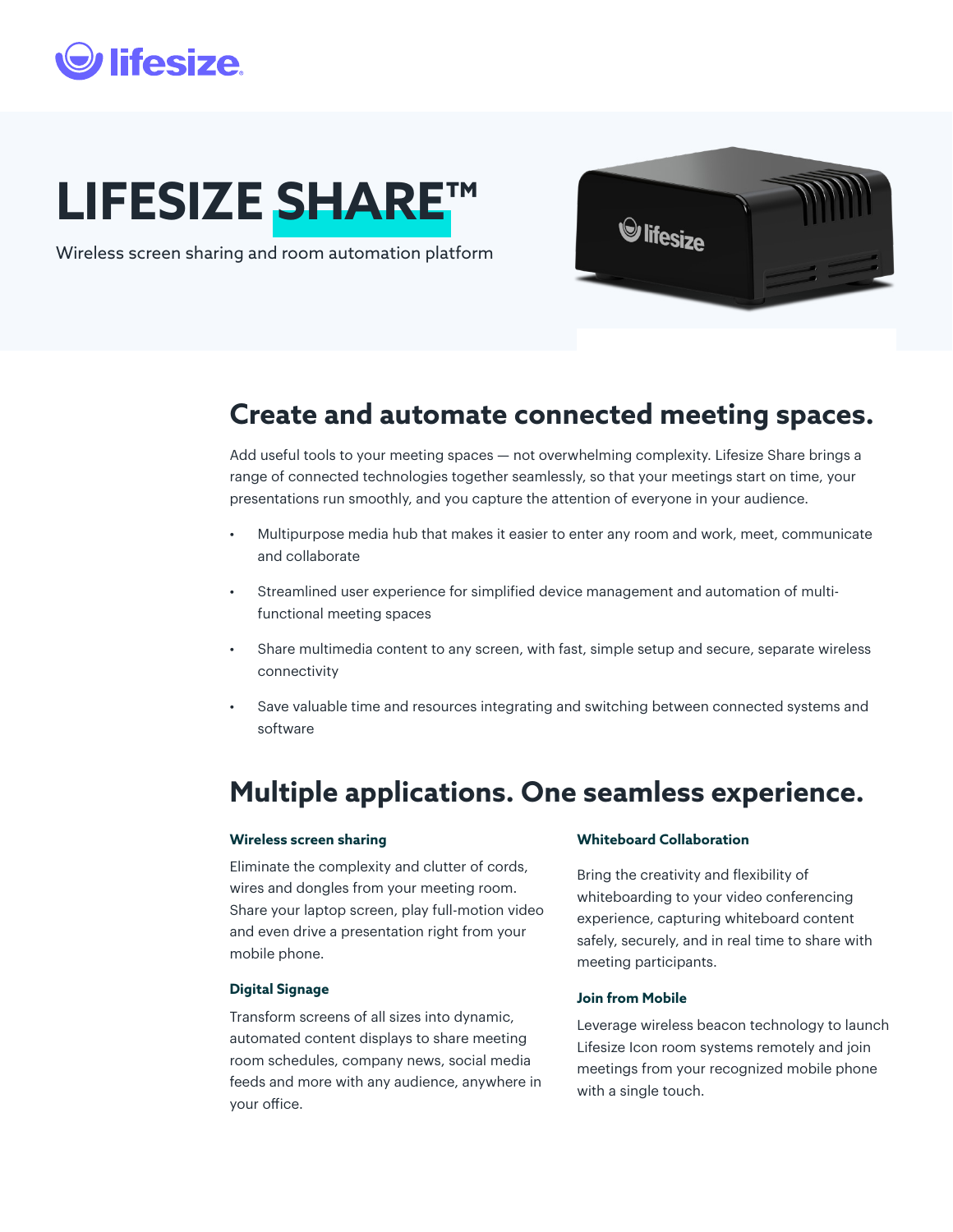## *lifesize*

# **LIFESIZE SHARE™**

Wireless screen sharing and room automation platform



## **Create and automate connected meeting spaces.**

Add useful tools to your meeting spaces — not overwhelming complexity. Lifesize Share brings a range of connected technologies together seamlessly, so that your meetings start on time, your presentations run smoothly, and you capture the attention of everyone in your audience.

- Multipurpose media hub that makes it easier to enter any room and work, meet, communicate and collaborate
- Streamlined user experience for simplified device management and automation of multifunctional meeting spaces
- Share multimedia content to any screen, with fast, simple setup and secure, separate wireless connectivity
- Save valuable time and resources integrating and switching between connected systems and software

## **Multiple applications. One seamless experience.**

#### **Wireless screen sharing**

Eliminate the complexity and clutter of cords, wires and dongles from your meeting room. Share your laptop screen, play full-motion video and even drive a presentation right from your mobile phone.

#### **Digital Signage**

Transform screens of all sizes into dynamic, automated content displays to share meeting room schedules, company news, social media feeds and more with any audience, anywhere in your office.

#### **Whiteboard Collaboration**

Bring the creativity and flexibility of whiteboarding to your video conferencing experience, capturing whiteboard content safely, securely, and in real time to share with meeting participants.

#### **Join from Mobile**

Leverage wireless beacon technology to launch Lifesize Icon room systems remotely and join meetings from your recognized mobile phone with a single touch.